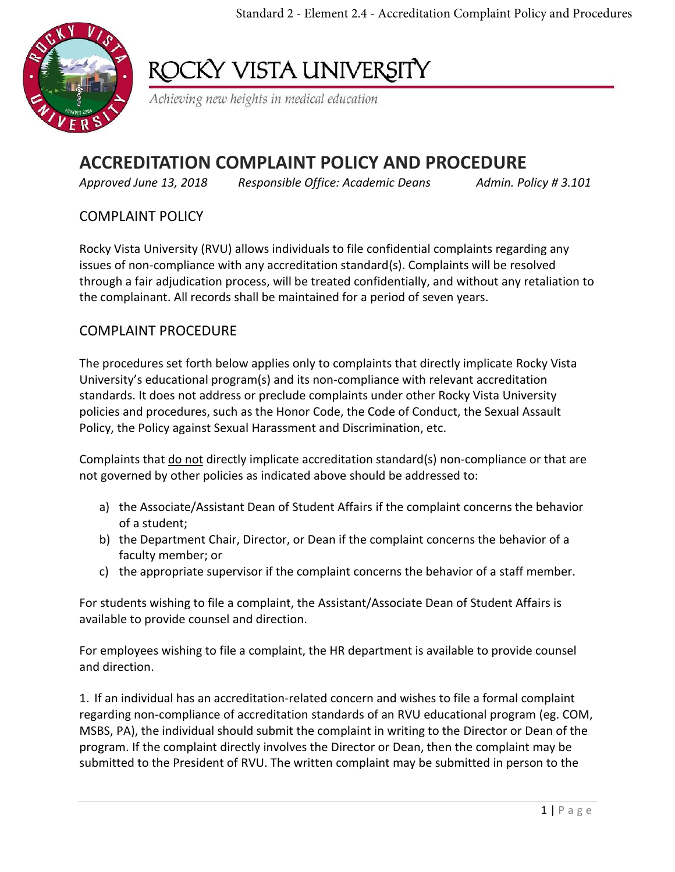Standard 2 - Element 2.4 - Accreditation Complaint Policy and Procedures



# ROCKY VISTA UNIVERSITY

Achieving new heights in medical education

## **ACCREDITATION COMPLAINT POLICY AND PROCEDURE**

*Approved June 13, 2018 Responsible Office: Academic Deans Admin. Policy # 3.101*

#### COMPLAINT POLICY

Rocky Vista University (RVU) allows individuals to file confidential complaints regarding any issues of non-compliance with any accreditation standard(s). Complaints will be resolved through a fair adjudication process, will be treated confidentially, and without any retaliation to the complainant. All records shall be maintained for a period of seven years.

#### COMPLAINT PROCEDURE

The procedures set forth below applies only to complaints that directly implicate Rocky Vista University's educational program(s) and its non-compliance with relevant accreditation standards. It does not address or preclude complaints under other Rocky Vista University policies and procedures, such as the Honor Code, the Code of Conduct, the Sexual Assault Policy, the Policy against Sexual Harassment and Discrimination, etc.

Complaints that do not directly implicate accreditation standard(s) non-compliance or that are not governed by other policies as indicated above should be addressed to:

- a) the Associate/Assistant Dean of Student Affairs if the complaint concerns the behavior of a student;
- b) the Department Chair, Director, or Dean if the complaint concerns the behavior of a faculty member; or
- c) the appropriate supervisor if the complaint concerns the behavior of a staff member.

For students wishing to file a complaint, the Assistant/Associate Dean of Student Affairs is available to provide counsel and direction.

For employees wishing to file a complaint, the HR department is available to provide counsel and direction.

1. If an individual has an accreditation-related concern and wishes to file a formal complaint regarding non-compliance of accreditation standards of an RVU educational program (eg. COM, MSBS, PA), the individual should submit the complaint in writing to the Director or Dean of the program. If the complaint directly involves the Director or Dean, then the complaint may be submitted to the President of RVU. The written complaint may be submitted in person to the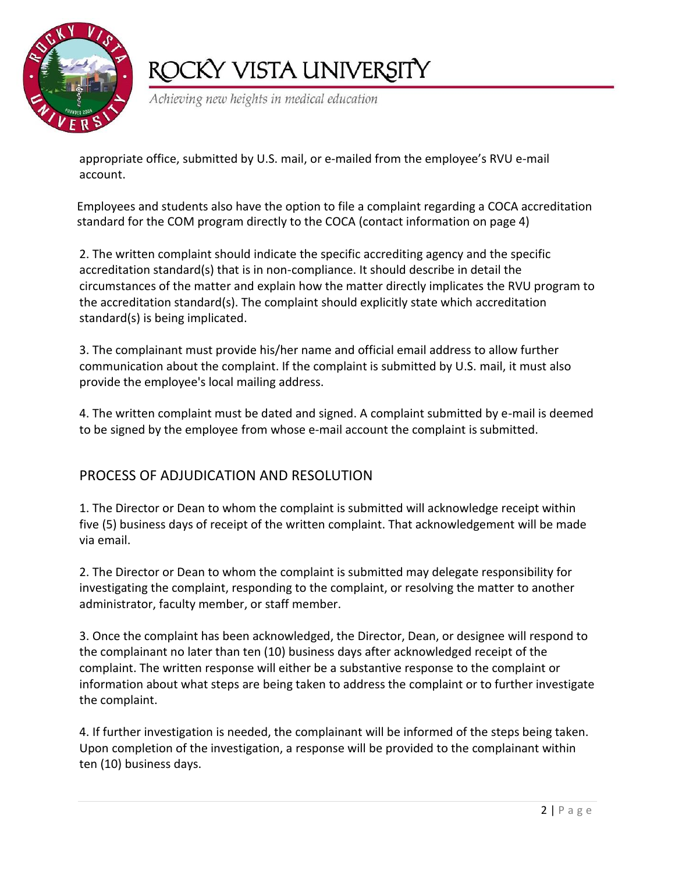

# ROCKY VISTA UNIVERSITY

Achieving new heights in medical education

appropriate office, submitted by U.S. mail, or e-mailed from the employee's RVU e-mail account.

Employees and students also have the option to file a complaint regarding a COCA accreditation standard for the COM program directly to the COCA (contact information on page 4)

2. The written complaint should indicate the specific accrediting agency and the specific accreditation standard(s) that is in non-compliance. It should describe in detail the circumstances of the matter and explain how the matter directly implicates the RVU program to the accreditation standard(s). The complaint should explicitly state which accreditation standard(s) is being implicated.

3. The complainant must provide his/her name and official email address to allow further communication about the complaint. If the complaint is submitted by U.S. mail, it must also provide the employee's local mailing address.

4. The written complaint must be dated and signed. A complaint submitted by e-mail is deemed to be signed by the employee from whose e-mail account the complaint is submitted.

### PROCESS OF ADJUDICATION AND RESOLUTION

1. The Director or Dean to whom the complaint is submitted will acknowledge receipt within five (5) business days of receipt of the written complaint. That acknowledgement will be made via email.

2. The Director or Dean to whom the complaint is submitted may delegate responsibility for investigating the complaint, responding to the complaint, or resolving the matter to another administrator, faculty member, or staff member.

3. Once the complaint has been acknowledged, the Director, Dean, or designee will respond to the complainant no later than ten (10) business days after acknowledged receipt of the complaint. The written response will either be a substantive response to the complaint or information about what steps are being taken to address the complaint or to further investigate the complaint.

4. If further investigation is needed, the complainant will be informed of the steps being taken. Upon completion of the investigation, a response will be provided to the complainant within ten (10) business days.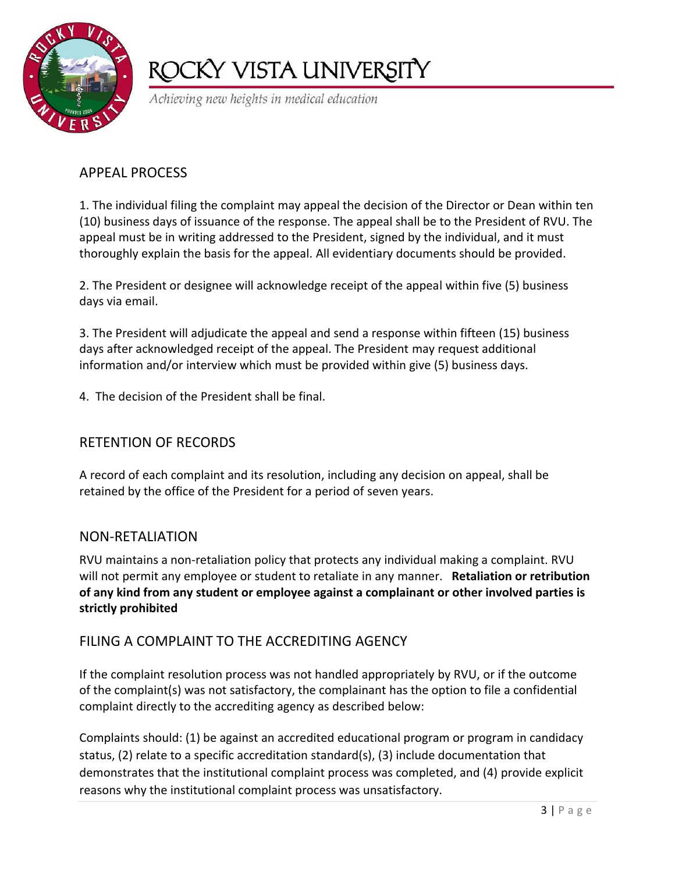

# ROCKY VISTA UNIVERSITY

Achieving new heights in medical education

### APPEAL PROCESS

1. The individual filing the complaint may appeal the decision of the Director or Dean within ten (10) business days of issuance of the response. The appeal shall be to the President of RVU. The appeal must be in writing addressed to the President, signed by the individual, and it must thoroughly explain the basis for the appeal. All evidentiary documents should be provided.

2. The President or designee will acknowledge receipt of the appeal within five (5) business days via email.

3. The President will adjudicate the appeal and send a response within fifteen (15) business days after acknowledged receipt of the appeal. The President may request additional information and/or interview which must be provided within give (5) business days.

4. The decision of the President shall be final.

### RETENTION OF RECORDS

A record of each complaint and its resolution, including any decision on appeal, shall be retained by the office of the President for a period of seven years.

#### NON-RETALIATION

RVU maintains a non-retaliation policy that protects any individual making a complaint. RVU will not permit any employee or student to retaliate in any manner. **Retaliation or retribution of any kind from any student or employee against a complainant or other involved parties is strictly prohibited**

### FILING A COMPLAINT TO THE ACCREDITING AGENCY

If the complaint resolution process was not handled appropriately by RVU, or if the outcome of the complaint(s) was not satisfactory, the complainant has the option to file a confidential complaint directly to the accrediting agency as described below:

Complaints should: (1) be against an accredited educational program or program in candidacy status, (2) relate to a specific accreditation standard(s), (3) include documentation that demonstrates that the institutional complaint process was completed, and (4) provide explicit reasons why the institutional complaint process was unsatisfactory.